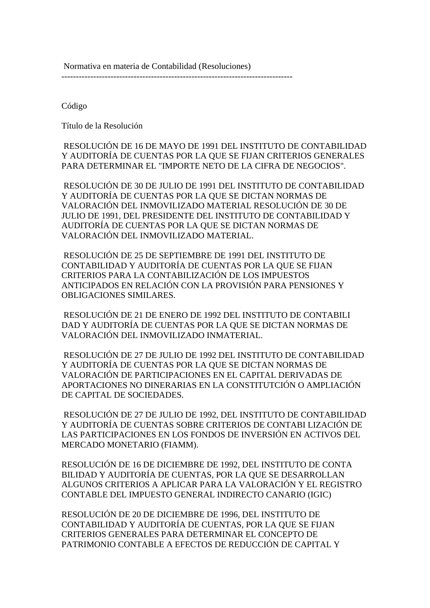Normativa en materia de Contabilidad (Resoluciones)

--------------------------------------------------------------------------------

Código

Título de la Resolución

 RESOLUCIÓN DE 16 DE MAYO DE 1991 DEL INSTITUTO DE CONTABILIDAD Y AUDITORÍA DE CUENTAS POR LA QUE SE FIJAN CRITERIOS GENERALES PARA DETERMINAR EL "IMPORTE NETO DE LA CIFRA DE NEGOCIOS".

 RESOLUCIÓN DE 30 DE JULIO DE 1991 DEL INSTITUTO DE CONTABILIDAD Y AUDITORÍA DE CUENTAS POR LA QUE SE DICTAN NORMAS DE VALORACIÓN DEL INMOVILIZADO MATERIAL RESOLUCIÓN DE 30 DE JULIO DE 1991, DEL PRESIDENTE DEL INSTITUTO DE CONTABILIDAD Y AUDITORÍA DE CUENTAS POR LA QUE SE DICTAN NORMAS DE VALORACIÓN DEL INMOVILIZADO MATERIAL.

 RESOLUCIÓN DE 25 DE SEPTIEMBRE DE 1991 DEL INSTITUTO DE CONTABILIDAD Y AUDITORÍA DE CUENTAS POR LA QUE SE FIJAN CRITERIOS PARA LA CONTABILIZACIÓN DE LOS IMPUESTOS ANTICIPADOS EN RELACIÓN CON LA PROVISIÓN PARA PENSIONES Y OBLIGACIONES SIMILARES.

 RESOLUCIÓN DE 21 DE ENERO DE 1992 DEL INSTITUTO DE CONTABILI DAD Y AUDITORÍA DE CUENTAS POR LA QUE SE DICTAN NORMAS DE VALORACIÓN DEL INMOVILIZADO INMATERIAL.

 RESOLUCIÓN DE 27 DE JULIO DE 1992 DEL INSTITUTO DE CONTABILIDAD Y AUDITORÍA DE CUENTAS POR LA QUE SE DICTAN NORMAS DE VALORACIÓN DE PARTICIPACIONES EN EL CAPITAL DERIVADAS DE APORTACIONES NO DINERARIAS EN LA CONSTITUTCIÓN O AMPLIACIÓN DE CAPITAL DE SOCIEDADES.

 RESOLUCIÓN DE 27 DE JULIO DE 1992, DEL INSTITUTO DE CONTABILIDAD Y AUDITORÍA DE CUENTAS SOBRE CRITERIOS DE CONTABI LIZACIÓN DE LAS PARTICIPACIONES EN LOS FONDOS DE INVERSIÓN EN ACTIVOS DEL MERCADO MONETARIO (FIAMM).

RESOLUCIÓN DE 16 DE DICIEMBRE DE 1992, DEL INSTITUTO DE CONTA BILIDAD Y AUDITORÍA DE CUENTAS, POR LA QUE SE DESARROLLAN ALGUNOS CRITERIOS A APLICAR PARA LA VALORACIÓN Y EL REGISTRO CONTABLE DEL IMPUESTO GENERAL INDIRECTO CANARIO (IGIC)

RESOLUCIÓN DE 20 DE DICIEMBRE DE 1996, DEL INSTITUTO DE CONTABILIDAD Y AUDITORÍA DE CUENTAS, POR LA QUE SE FIJAN CRITERIOS GENERALES PARA DETERMINAR EL CONCEPTO DE PATRIMONIO CONTABLE A EFECTOS DE REDUCCIÓN DE CAPITAL Y